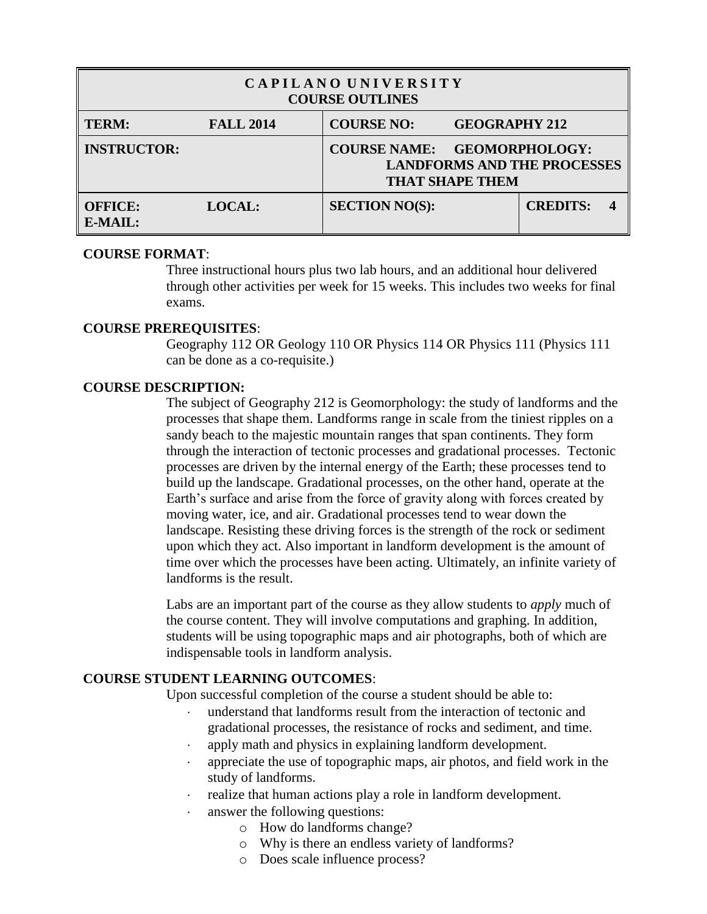| CAPILANO UNIVERSITY<br><b>COURSE OUTLINES</b> |                  |                       |                        |                                                             |  |  |
|-----------------------------------------------|------------------|-----------------------|------------------------|-------------------------------------------------------------|--|--|
| <b>TERM:</b>                                  | <b>FALL 2014</b> | <b>COURSE NO:</b>     | <b>GEOGRAPHY 212</b>   |                                                             |  |  |
| <b>INSTRUCTOR:</b>                            |                  | <b>COURSE NAME:</b>   | <b>THAT SHAPE THEM</b> | <b>GEOMORPHOLOGY:</b><br><b>LANDFORMS AND THE PROCESSES</b> |  |  |
| <b>OFFICE:</b><br>$E\text{-}MAIL:$            | <b>LOCAL:</b>    | <b>SECTION NO(S):</b> |                        | <b>CREDITS:</b>                                             |  |  |

## **COURSE FORMAT**:

Three instructional hours plus two lab hours, and an additional hour delivered through other activities per week for 15 weeks. This includes two weeks for final exams.

#### **COURSE PREREQUISITES**:

Geography 112 OR Geology 110 OR Physics 114 OR Physics 111 (Physics 111 can be done as a co-requisite.)

## **COURSE DESCRIPTION:**

The subject of Geography 212 is Geomorphology: the study of landforms and the processes that shape them. Landforms range in scale from the tiniest ripples on a sandy beach to the majestic mountain ranges that span continents. They form through the interaction of tectonic processes and gradational processes. Tectonic processes are driven by the internal energy of the Earth; these processes tend to build up the landscape. Gradational processes, on the other hand, operate at the Earth's surface and arise from the force of gravity along with forces created by moving water, ice, and air. Gradational processes tend to wear down the landscape. Resisting these driving forces is the strength of the rock or sediment upon which they act. Also important in landform development is the amount of time over which the processes have been acting. Ultimately, an infinite variety of landforms is the result.

Labs are an important part of the course as they allow students to *apply* much of the course content. They will involve computations and graphing. In addition, students will be using topographic maps and air photographs, both of which are indispensable tools in landform analysis.

## **COURSE STUDENT LEARNING OUTCOMES**:

Upon successful completion of the course a student should be able to:

- understand that landforms result from the interaction of tectonic and gradational processes, the resistance of rocks and sediment, and time.
- apply math and physics in explaining landform development.
- appreciate the use of topographic maps, air photos, and field work in the study of landforms.
- realize that human actions play a role in landform development.
- answer the following questions:
	- o How do landforms change?
	- o Why is there an endless variety of landforms?
	- o Does scale influence process?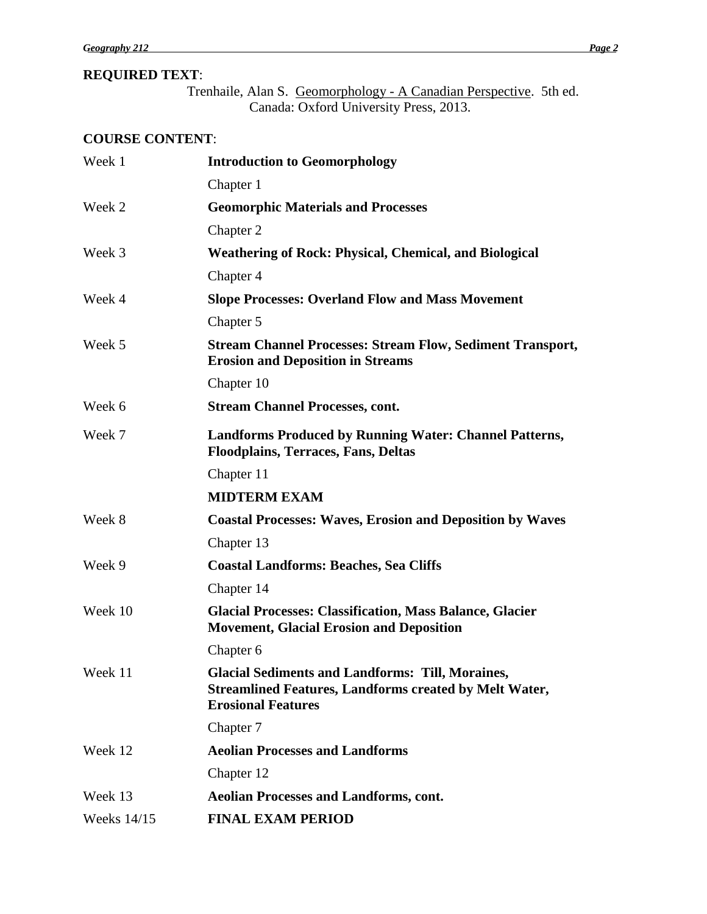# **REQUIRED TEXT**:

Trenhaile, Alan S. Geomorphology - A Canadian Perspective. 5th ed. Canada: Oxford University Press, 2013.

# **COURSE CONTENT**:

| Week 1      | <b>Introduction to Geomorphology</b>                                                                                                                  |  |  |
|-------------|-------------------------------------------------------------------------------------------------------------------------------------------------------|--|--|
|             | Chapter 1                                                                                                                                             |  |  |
| Week 2      | <b>Geomorphic Materials and Processes</b>                                                                                                             |  |  |
|             | Chapter 2                                                                                                                                             |  |  |
| Week 3      | <b>Weathering of Rock: Physical, Chemical, and Biological</b>                                                                                         |  |  |
|             | Chapter 4                                                                                                                                             |  |  |
| Week 4      | <b>Slope Processes: Overland Flow and Mass Movement</b>                                                                                               |  |  |
|             | Chapter 5                                                                                                                                             |  |  |
| Week 5      | <b>Stream Channel Processes: Stream Flow, Sediment Transport,</b><br><b>Erosion and Deposition in Streams</b>                                         |  |  |
|             | Chapter 10                                                                                                                                            |  |  |
| Week 6      | <b>Stream Channel Processes, cont.</b>                                                                                                                |  |  |
| Week 7      | <b>Landforms Produced by Running Water: Channel Patterns,</b><br><b>Floodplains, Terraces, Fans, Deltas</b>                                           |  |  |
|             | Chapter 11                                                                                                                                            |  |  |
|             | <b>MIDTERM EXAM</b>                                                                                                                                   |  |  |
| Week 8      | <b>Coastal Processes: Waves, Erosion and Deposition by Waves</b>                                                                                      |  |  |
|             | Chapter 13                                                                                                                                            |  |  |
| Week 9      | <b>Coastal Landforms: Beaches, Sea Cliffs</b>                                                                                                         |  |  |
|             | Chapter 14                                                                                                                                            |  |  |
| Week 10     | <b>Glacial Processes: Classification, Mass Balance, Glacier</b><br><b>Movement, Glacial Erosion and Deposition</b>                                    |  |  |
|             | Chapter 6                                                                                                                                             |  |  |
| Week 11     | <b>Glacial Sediments and Landforms: Till, Moraines,</b><br><b>Streamlined Features, Landforms created by Melt Water,</b><br><b>Erosional Features</b> |  |  |
|             | Chapter 7                                                                                                                                             |  |  |
| Week 12     | <b>Aeolian Processes and Landforms</b>                                                                                                                |  |  |
|             | Chapter 12                                                                                                                                            |  |  |
| Week 13     | <b>Aeolian Processes and Landforms, cont.</b>                                                                                                         |  |  |
| Weeks 14/15 | <b>FINAL EXAM PERIOD</b>                                                                                                                              |  |  |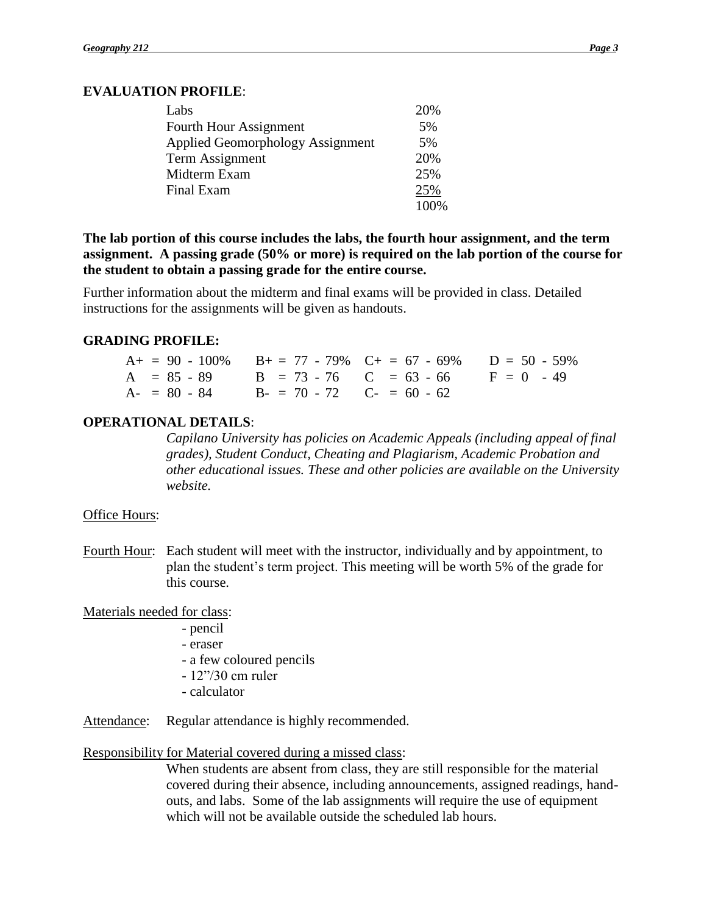# **EVALUATION PROFILE**:

| Labs                             | 20%  |
|----------------------------------|------|
| Fourth Hour Assignment           | 5%   |
| Applied Geomorphology Assignment | 5%   |
| Term Assignment                  | 20%  |
| Midterm Exam                     | 25%  |
| Final Exam                       | 25%  |
|                                  | 100% |

**The lab portion of this course includes the labs, the fourth hour assignment, and the term assignment. A passing grade (50% or more) is required on the lab portion of the course for the student to obtain a passing grade for the entire course.**

Further information about the midterm and final exams will be provided in class. Detailed instructions for the assignments will be given as handouts.

## **GRADING PROFILE:**

| $A_+ = 90 - 100\%$ $B_+ = 77 - 79\%$ $C_+ = 67 - 69\%$ $D = 50 - 59\%$ |  |  |
|------------------------------------------------------------------------|--|--|
| $A = 85 - 89$ $B = 73 - 76$ $C = 63 - 66$ $F = 0 - 49$                 |  |  |
| $A = 80 - 84$ $B = 70 - 72$ $C = 60 - 62$                              |  |  |

## **OPERATIONAL DETAILS**:

*Capilano University has policies on Academic Appeals (including appeal of final grades), Student Conduct, Cheating and Plagiarism, Academic Probation and other educational issues. These and other policies are available on the University website.*

## Office Hours:

Fourth Hour: Each student will meet with the instructor, individually and by appointment, to plan the student's term project. This meeting will be worth 5% of the grade for this course.

Materials needed for class:

- pencil
- eraser
- a few coloured pencils
- 12"/30 cm ruler
- calculator

Attendance: Regular attendance is highly recommended.

## Responsibility for Material covered during a missed class:

When students are absent from class, they are still responsible for the material covered during their absence, including announcements, assigned readings, handouts, and labs. Some of the lab assignments will require the use of equipment which will not be available outside the scheduled lab hours.